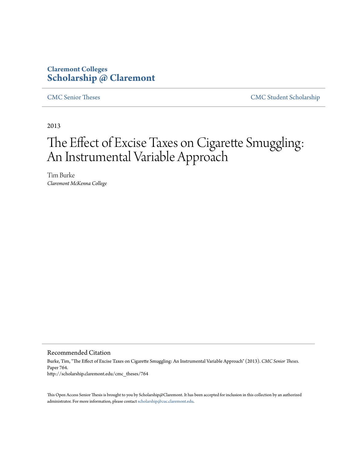# **Claremont Colleges [Scholarship @ Claremont](http://scholarship.claremont.edu)**

[CMC Senior Theses](http://scholarship.claremont.edu/cmc_theses) [CMC Student Scholarship](http://scholarship.claremont.edu/cmc_student)

2013

# The Effect of Excise Taxes on Cigarette Smuggling: An Instrumental Variable Approach

Tim Burke *Claremont McKenna College*

Recommended Citation

Burke, Tim, "The Effect of Excise Taxes on Cigarette Smuggling: An Instrumental Variable Approach" (2013). *CMC Senior Theses.* Paper 764. http://scholarship.claremont.edu/cmc\_theses/764

This Open Access Senior Thesis is brought to you by Scholarship@Claremont. It has been accepted for inclusion in this collection by an authorized administrator. For more information, please contact [scholarship@cuc.claremont.edu.](mailto:scholarship@cuc.claremont.edu)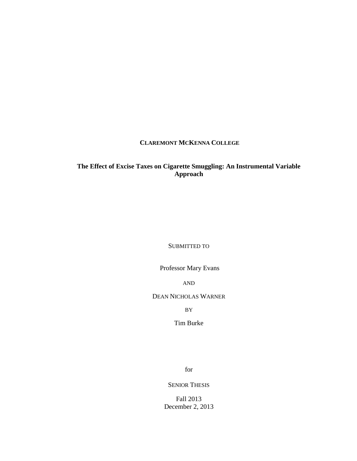### **CLAREMONT MCKENNA COLLEGE**

## **The Effect of Excise Taxes on Cigarette Smuggling: An Instrumental Variable Approach**

SUBMITTED TO

Professor Mary Evans

AND

DEAN NICHOLAS WARNER

BY

Tim Burke

for

SENIOR THESIS

Fall 2013 December 2, 2013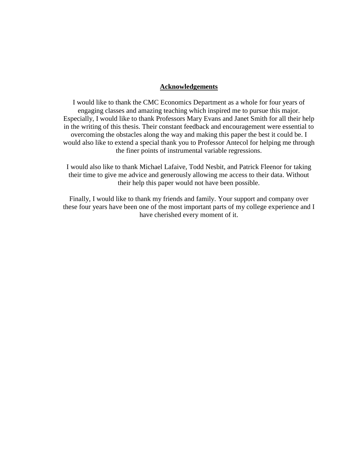#### **Acknowledgements**

I would like to thank the CMC Economics Department as a whole for four years of engaging classes and amazing teaching which inspired me to pursue this major. Especially, I would like to thank Professors Mary Evans and Janet Smith for all their help in the writing of this thesis. Their constant feedback and encouragement were essential to overcoming the obstacles along the way and making this paper the best it could be. I would also like to extend a special thank you to Professor Antecol for helping me through the finer points of instrumental variable regressions.

I would also like to thank Michael Lafaive, Todd Nesbit, and Patrick Fleenor for taking their time to give me advice and generously allowing me access to their data. Without their help this paper would not have been possible.

Finally, I would like to thank my friends and family. Your support and company over these four years have been one of the most important parts of my college experience and I have cherished every moment of it.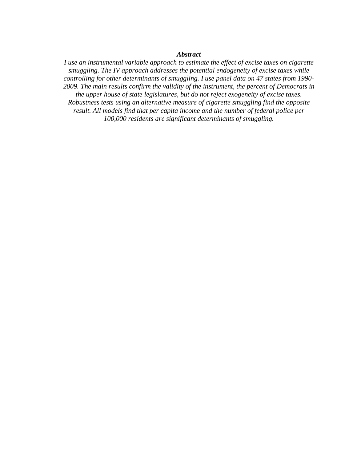#### *Abstract*

*I use an instrumental variable approach to estimate the effect of excise taxes on cigarette smuggling. The IV approach addresses the potential endogeneity of excise taxes while controlling for other determinants of smuggling. I use panel data on 47 states from 1990- 2009. The main results confirm the validity of the instrument, the percent of Democrats in the upper house of state legislatures, but do not reject exogeneity of excise taxes. Robustness tests using an alternative measure of cigarette smuggling find the opposite result. All models find that per capita income and the number of federal police per 100,000 residents are significant determinants of smuggling.*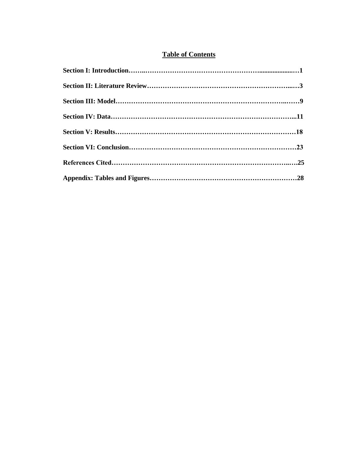## **Table of Contents**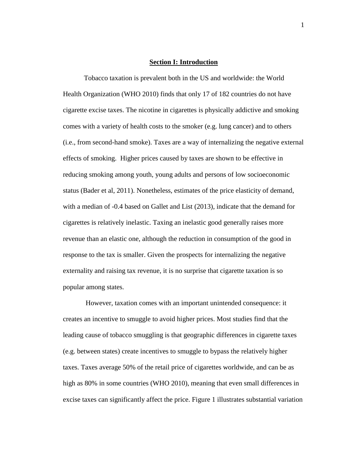#### **Section I: Introduction**

Tobacco taxation is prevalent both in the US and worldwide: the World Health Organization (WHO 2010) finds that only 17 of 182 countries do not have cigarette excise taxes. The nicotine in cigarettes is physically addictive and smoking comes with a variety of health costs to the smoker (e.g. lung cancer) and to others (i.e., from second-hand smoke). Taxes are a way of internalizing the negative external effects of smoking. Higher prices caused by taxes are shown to be effective in reducing smoking among youth, young adults and persons of low socioeconomic status (Bader et al, 2011). Nonetheless, estimates of the price elasticity of demand, with a median of -0.4 based on Gallet and List (2013), indicate that the demand for cigarettes is relatively inelastic. Taxing an inelastic good generally raises more revenue than an elastic one, although the reduction in consumption of the good in response to the tax is smaller. Given the prospects for internalizing the negative externality and raising tax revenue, it is no surprise that cigarette taxation is so popular among states.

However, taxation comes with an important unintended consequence: it creates an incentive to smuggle to avoid higher prices. Most studies find that the leading cause of tobacco smuggling is that geographic differences in cigarette taxes (e.g. between states) create incentives to smuggle to bypass the relatively higher taxes. Taxes average 50% of the retail price of cigarettes worldwide, and can be as high as 80% in some countries (WHO 2010), meaning that even small differences in excise taxes can significantly affect the price. Figure 1 illustrates substantial variation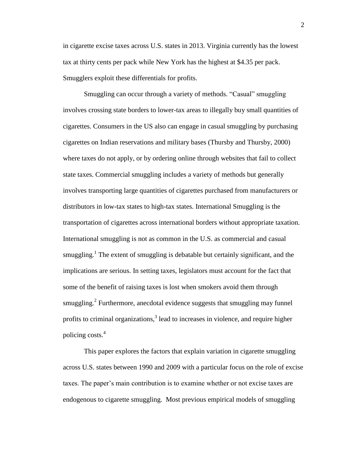in cigarette excise taxes across U.S. states in 2013. Virginia currently has the lowest tax at thirty cents per pack while New York has the highest at \$4.35 per pack. Smugglers exploit these differentials for profits.

Smuggling can occur through a variety of methods. "Casual" smuggling involves crossing state borders to lower-tax areas to illegally buy small quantities of cigarettes. Consumers in the US also can engage in casual smuggling by purchasing cigarettes on Indian reservations and military bases (Thursby and Thursby, 2000) where taxes do not apply, or by ordering online through websites that fail to collect state taxes. Commercial smuggling includes a variety of methods but generally involves transporting large quantities of cigarettes purchased from manufacturers or distributors in low-tax states to high-tax states. International Smuggling is the transportation of cigarettes across international borders without appropriate taxation. International smuggling is not as common in the U.S. as commercial and casual smuggling.<sup>1</sup> The extent of smuggling is debatable but certainly significant, and the implications are serious. In setting taxes, legislators must account for the fact that some of the benefit of raising taxes is lost when smokers avoid them through smuggling.<sup>2</sup> Furthermore, anecdotal evidence suggests that smuggling may funnel profits to criminal organizations, $3$  lead to increases in violence, and require higher policing costs.<sup>4</sup>

This paper explores the factors that explain variation in cigarette smuggling across U.S. states between 1990 and 2009 with a particular focus on the role of excise taxes. The paper's main contribution is to examine whether or not excise taxes are endogenous to cigarette smuggling. Most previous empirical models of smuggling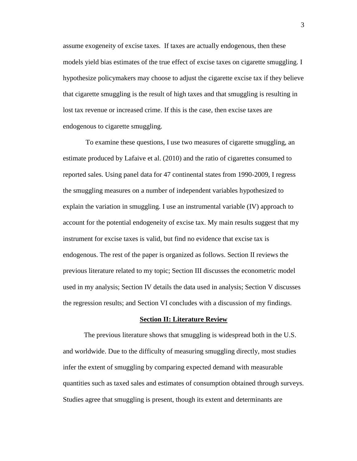assume exogeneity of excise taxes. If taxes are actually endogenous, then these models yield bias estimates of the true effect of excise taxes on cigarette smuggling. I hypothesize policymakers may choose to adjust the cigarette excise tax if they believe that cigarette smuggling is the result of high taxes and that smuggling is resulting in lost tax revenue or increased crime. If this is the case, then excise taxes are endogenous to cigarette smuggling.

To examine these questions, I use two measures of cigarette smuggling, an estimate produced by Lafaive et al. (2010) and the ratio of cigarettes consumed to reported sales. Using panel data for 47 continental states from 1990-2009, I regress the smuggling measures on a number of independent variables hypothesized to explain the variation in smuggling. I use an instrumental variable (IV) approach to account for the potential endogeneity of excise tax. My main results suggest that my instrument for excise taxes is valid, but find no evidence that excise tax is endogenous. The rest of the paper is organized as follows. Section II reviews the previous literature related to my topic; Section III discusses the econometric model used in my analysis; Section IV details the data used in analysis; Section V discusses the regression results; and Section VI concludes with a discussion of my findings.

#### **Section II: Literature Review**

The previous literature shows that smuggling is widespread both in the U.S. and worldwide. Due to the difficulty of measuring smuggling directly, most studies infer the extent of smuggling by comparing expected demand with measurable quantities such as taxed sales and estimates of consumption obtained through surveys. Studies agree that smuggling is present, though its extent and determinants are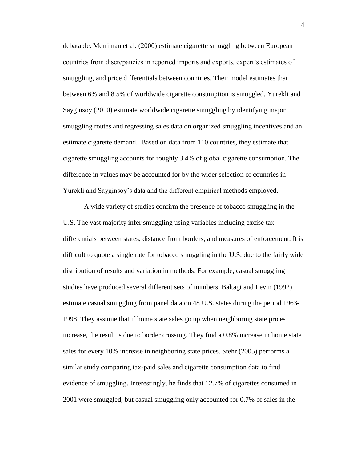debatable. Merriman et al. (2000) estimate cigarette smuggling between European countries from discrepancies in reported imports and exports, expert's estimates of smuggling, and price differentials between countries. Their model estimates that between 6% and 8.5% of worldwide cigarette consumption is smuggled. Yurekli and Sayginsoy (2010) estimate worldwide cigarette smuggling by identifying major smuggling routes and regressing sales data on organized smuggling incentives and an estimate cigarette demand. Based on data from 110 countries, they estimate that cigarette smuggling accounts for roughly 3.4% of global cigarette consumption. The difference in values may be accounted for by the wider selection of countries in Yurekli and Sayginsoy's data and the different empirical methods employed.

A wide variety of studies confirm the presence of tobacco smuggling in the U.S. The vast majority infer smuggling using variables including excise tax differentials between states, distance from borders, and measures of enforcement. It is difficult to quote a single rate for tobacco smuggling in the U.S. due to the fairly wide distribution of results and variation in methods. For example, casual smuggling studies have produced several different sets of numbers. Baltagi and Levin (1992) estimate casual smuggling from panel data on 48 U.S. states during the period 1963- 1998. They assume that if home state sales go up when neighboring state prices increase, the result is due to border crossing. They find a 0.8% increase in home state sales for every 10% increase in neighboring state prices. Stehr (2005) performs a similar study comparing tax-paid sales and cigarette consumption data to find evidence of smuggling. Interestingly, he finds that 12.7% of cigarettes consumed in 2001 were smuggled, but casual smuggling only accounted for 0.7% of sales in the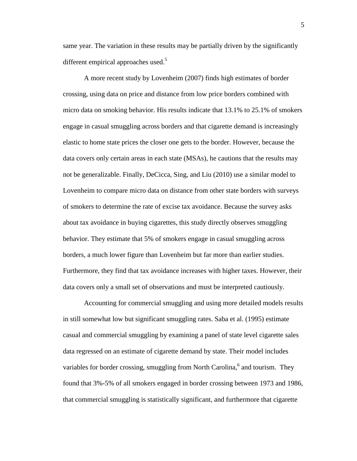same year. The variation in these results may be partially driven by the significantly different empirical approaches used. $5$ 

A more recent study by Lovenheim (2007) finds high estimates of border crossing, using data on price and distance from low price borders combined with micro data on smoking behavior. His results indicate that 13.1% to 25.1% of smokers engage in casual smuggling across borders and that cigarette demand is increasingly elastic to home state prices the closer one gets to the border. However, because the data covers only certain areas in each state (MSAs), he cautions that the results may not be generalizable. Finally, DeCicca, Sing, and Liu (2010) use a similar model to Lovenheim to compare micro data on distance from other state borders with surveys of smokers to determine the rate of excise tax avoidance. Because the survey asks about tax avoidance in buying cigarettes, this study directly observes smuggling behavior. They estimate that 5% of smokers engage in casual smuggling across borders, a much lower figure than Lovenheim but far more than earlier studies. Furthermore, they find that tax avoidance increases with higher taxes. However, their data covers only a small set of observations and must be interpreted cautiously.

Accounting for commercial smuggling and using more detailed models results in still somewhat low but significant smuggling rates. Saba et al. (1995) estimate casual and commercial smuggling by examining a panel of state level cigarette sales data regressed on an estimate of cigarette demand by state. Their model includes variables for border crossing, smuggling from North Carolina,<sup>6</sup> and tourism. They found that 3%-5% of all smokers engaged in border crossing between 1973 and 1986, that commercial smuggling is statistically significant, and furthermore that cigarette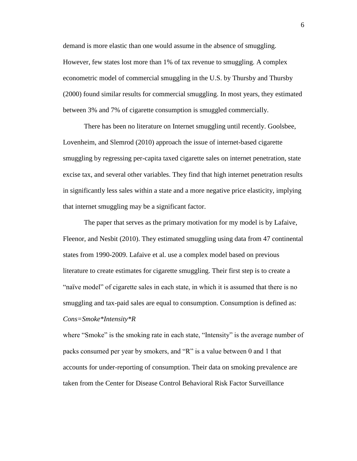demand is more elastic than one would assume in the absence of smuggling. However, few states lost more than 1% of tax revenue to smuggling. A complex econometric model of commercial smuggling in the U.S. by Thursby and Thursby (2000) found similar results for commercial smuggling. In most years, they estimated between 3% and 7% of cigarette consumption is smuggled commercially.

There has been no literature on Internet smuggling until recently. Goolsbee, Lovenheim, and Slemrod (2010) approach the issue of internet-based cigarette smuggling by regressing per-capita taxed cigarette sales on internet penetration, state excise tax, and several other variables. They find that high internet penetration results in significantly less sales within a state and a more negative price elasticity, implying that internet smuggling may be a significant factor.

The paper that serves as the primary motivation for my model is by Lafaive, Fleenor, and Nesbit (2010). They estimated smuggling using data from 47 continental states from 1990-2009. Lafaive et al. use a complex model based on previous literature to create estimates for cigarette smuggling. Their first step is to create a "naïve model" of cigarette sales in each state, in which it is assumed that there is no smuggling and tax-paid sales are equal to consumption. Consumption is defined as: *Cons=Smoke\*Intensity\*R* 

where "Smoke" is the smoking rate in each state, "Intensity" is the average number of packs consumed per year by smokers, and "R" is a value between 0 and 1 that accounts for under-reporting of consumption. Their data on smoking prevalence are taken from the Center for Disease Control Behavioral Risk Factor Surveillance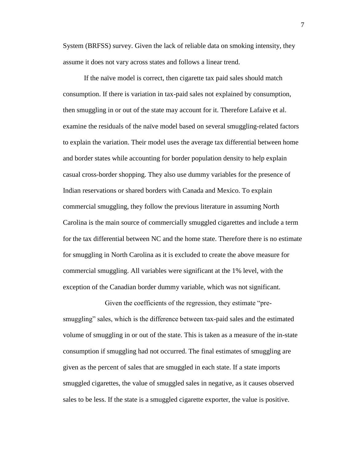System (BRFSS) survey. Given the lack of reliable data on smoking intensity, they assume it does not vary across states and follows a linear trend.

If the naïve model is correct, then cigarette tax paid sales should match consumption. If there is variation in tax-paid sales not explained by consumption, then smuggling in or out of the state may account for it. Therefore Lafaive et al. examine the residuals of the naïve model based on several smuggling-related factors to explain the variation. Their model uses the average tax differential between home and border states while accounting for border population density to help explain casual cross-border shopping. They also use dummy variables for the presence of Indian reservations or shared borders with Canada and Mexico. To explain commercial smuggling, they follow the previous literature in assuming North Carolina is the main source of commercially smuggled cigarettes and include a term for the tax differential between NC and the home state. Therefore there is no estimate for smuggling in North Carolina as it is excluded to create the above measure for commercial smuggling. All variables were significant at the 1% level, with the exception of the Canadian border dummy variable, which was not significant.

Given the coefficients of the regression, they estimate "presmuggling" sales, which is the difference between tax-paid sales and the estimated volume of smuggling in or out of the state. This is taken as a measure of the in-state consumption if smuggling had not occurred. The final estimates of smuggling are given as the percent of sales that are smuggled in each state. If a state imports smuggled cigarettes, the value of smuggled sales in negative, as it causes observed sales to be less. If the state is a smuggled cigarette exporter, the value is positive.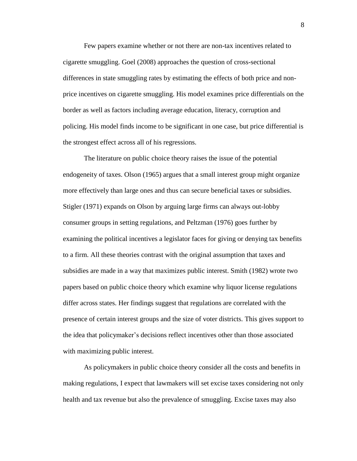Few papers examine whether or not there are non-tax incentives related to cigarette smuggling. Goel (2008) approaches the question of cross-sectional differences in state smuggling rates by estimating the effects of both price and nonprice incentives on cigarette smuggling. His model examines price differentials on the border as well as factors including average education, literacy, corruption and policing. His model finds income to be significant in one case, but price differential is the strongest effect across all of his regressions.

The literature on public choice theory raises the issue of the potential endogeneity of taxes. Olson (1965) argues that a small interest group might organize more effectively than large ones and thus can secure beneficial taxes or subsidies. Stigler (1971) expands on Olson by arguing large firms can always out-lobby consumer groups in setting regulations, and Peltzman (1976) goes further by examining the political incentives a legislator faces for giving or denying tax benefits to a firm. All these theories contrast with the original assumption that taxes and subsidies are made in a way that maximizes public interest. Smith (1982) wrote two papers based on public choice theory which examine why liquor license regulations differ across states. Her findings suggest that regulations are correlated with the presence of certain interest groups and the size of voter districts. This gives support to the idea that policymaker's decisions reflect incentives other than those associated with maximizing public interest.

As policymakers in public choice theory consider all the costs and benefits in making regulations, I expect that lawmakers will set excise taxes considering not only health and tax revenue but also the prevalence of smuggling. Excise taxes may also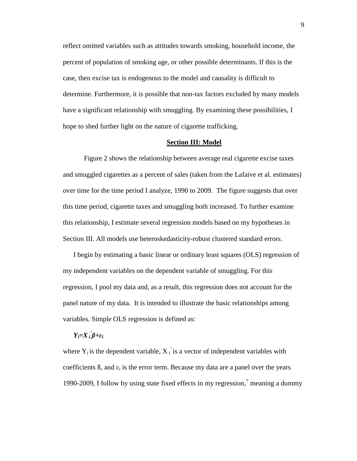reflect omitted variables such as attitudes towards smoking, household income, the percent of population of smoking age, or other possible determinants. If this is the case, then excise tax is endogenous to the model and causality is difficult to determine. Furthermore, it is possible that non-tax factors excluded by many models have a significant relationship with smuggling. By examining these possibilities, I hope to shed further light on the nature of cigarette trafficking.

#### **Section III: Model**

Figure 2 shows the relationship between average real cigarette excise taxes and smuggled cigarettes as a percent of sales (taken from the Lafaive et al. estimates) over time for the time period I analyze, 1990 to 2009. The figure suggests that over this time period, cigarette taxes and smuggling both increased. To further examine this relationship, I estimate several regression models based on my hypotheses in Section III. All models use heteroskedasticity-robust clustered standard errors.

I begin by estimating a basic linear or ordinary least squares (OLS) regression of my independent variables on the dependent variable of smuggling. For this regression, I pool my data and, as a result, this regression does not account for the panel nature of my data. It is intended to illustrate the basic relationships among variables. Simple OLS regression is defined as:

## *Yi=X<sup>i</sup> ' ß+ɛ<sup>i</sup>*

where  $Y_i$  is the dependent variable,  $X_i$  is a vector of independent variables with coefficients  $\beta$ , and  $\varepsilon_i$  is the error term. Because my data are a panel over the years 1990-2009, I follow by using state fixed effects in my regression, $\frac{7}{1}$  meaning a dummy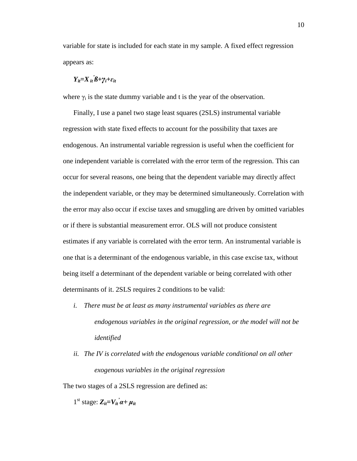variable for state is included for each state in my sample. A fixed effect regression appears as:

# *Yit=Xit ' ß+γi+ɛit*

where  $\gamma_i$  is the state dummy variable and t is the year of the observation.

Finally, I use a panel two stage least squares (2SLS) instrumental variable regression with state fixed effects to account for the possibility that taxes are endogenous. An instrumental variable regression is useful when the coefficient for one independent variable is correlated with the error term of the regression. This can occur for several reasons, one being that the dependent variable may directly affect the independent variable, or they may be determined simultaneously. Correlation with the error may also occur if excise taxes and smuggling are driven by omitted variables or if there is substantial measurement error. OLS will not produce consistent estimates if any variable is correlated with the error term. An instrumental variable is one that is a determinant of the endogenous variable, in this case excise tax, without being itself a determinant of the dependent variable or being correlated with other determinants of it. 2SLS requires 2 conditions to be valid:

- *i. There must be at least as many instrumental variables as there are endogenous variables in the original regression, or the model will not be identified*
- *ii. The IV is correlated with the endogenous variable conditional on all other exogenous variables in the original regression*

The two stages of a 2SLS regression are defined as:

 $1^{\text{st}}$  stage:  $Z_{it} = V_{it} \dot{a} + \mu_{it}$ 

10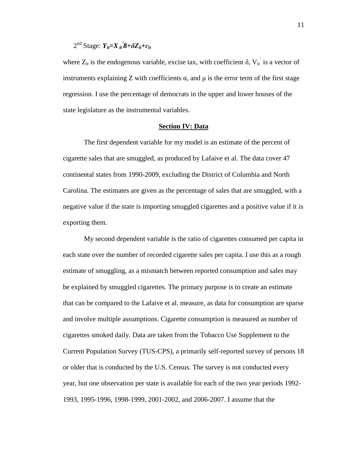## 2<sup>nd</sup> Stage: *Y<sub>it</sub>*=*X*<sub>*it*</sub><sup>*j*β+δZ<sub>*it*</sub>+ε<sub>*it*</sub></sup>

where  $Z_{it}$  is the endogenous variable, excise tax, with coefficient  $\delta$ ,  $V_{it}$  is a vector of instruments explaining Z with coefficients  $\alpha$ , and  $\mu$  is the error term of the first stage regression. I use the percentage of democrats in the upper and lower houses of the state legislature as the instrumental variables.

#### **Section IV: Data**

The first dependent variable for my model is an estimate of the percent of cigarette sales that are smuggled, as produced by Lafaive et al. The data cover 47 continental states from 1990-2009, excluding the District of Columbia and North Carolina. The estimates are given as the percentage of sales that are smuggled, with a negative value if the state is importing smuggled cigarettes and a positive value if it is exporting them.

My second dependent variable is the ratio of cigarettes consumed per capita in each state over the number of recorded cigarette sales per capita. I use this as a rough estimate of smuggling, as a mismatch between reported consumption and sales may be explained by smuggled cigarettes. The primary purpose is to create an estimate that can be compared to the Lafaive et al. measure, as data for consumption are sparse and involve multiple assumptions. Cigarette consumption is measured as number of cigarettes smoked daily. Data are taken from the Tobacco Use Supplement to the Current Population Survey (TUS-CPS), a primarily self-reported survey of persons 18 or older that is conducted by the U.S. Census. The survey is not conducted every year, but one observation per state is available for each of the two year periods 1992- 1993, 1995-1996, 1998-1999, 2001-2002, and 2006-2007. I assume that the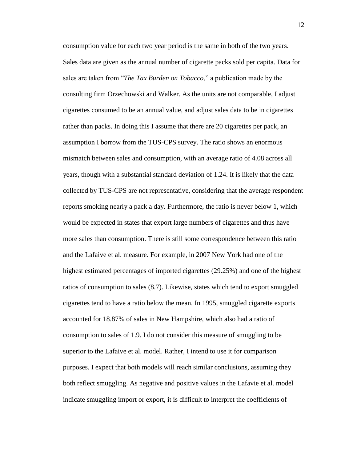consumption value for each two year period is the same in both of the two years. Sales data are given as the annual number of cigarette packs sold per capita. Data for sales are taken from "*The Tax Burden on Tobacco*," a publication made by the consulting firm Orzechowski and Walker. As the units are not comparable, I adjust cigarettes consumed to be an annual value, and adjust sales data to be in cigarettes rather than packs. In doing this I assume that there are 20 cigarettes per pack, an assumption I borrow from the TUS-CPS survey. The ratio shows an enormous mismatch between sales and consumption, with an average ratio of 4.08 across all years, though with a substantial standard deviation of 1.24. It is likely that the data collected by TUS-CPS are not representative, considering that the average respondent reports smoking nearly a pack a day. Furthermore, the ratio is never below 1, which would be expected in states that export large numbers of cigarettes and thus have more sales than consumption. There is still some correspondence between this ratio and the Lafaive et al. measure. For example, in 2007 New York had one of the highest estimated percentages of imported cigarettes (29.25%) and one of the highest ratios of consumption to sales (8.7). Likewise, states which tend to export smuggled cigarettes tend to have a ratio below the mean. In 1995, smuggled cigarette exports accounted for 18.87% of sales in New Hampshire, which also had a ratio of consumption to sales of 1.9. I do not consider this measure of smuggling to be superior to the Lafaive et al. model. Rather, I intend to use it for comparison purposes. I expect that both models will reach similar conclusions, assuming they both reflect smuggling. As negative and positive values in the Lafavie et al. model indicate smuggling import or export, it is difficult to interpret the coefficients of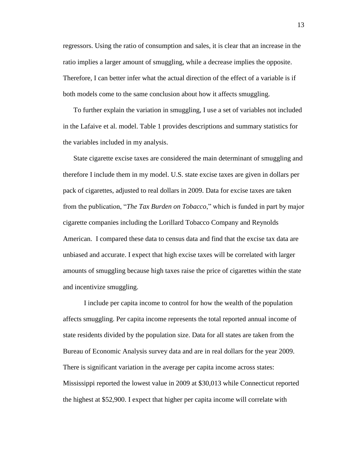regressors. Using the ratio of consumption and sales, it is clear that an increase in the ratio implies a larger amount of smuggling, while a decrease implies the opposite. Therefore, I can better infer what the actual direction of the effect of a variable is if both models come to the same conclusion about how it affects smuggling.

To further explain the variation in smuggling, I use a set of variables not included in the Lafaive et al. model. Table 1 provides descriptions and summary statistics for the variables included in my analysis.

State cigarette excise taxes are considered the main determinant of smuggling and therefore I include them in my model. U.S. state excise taxes are given in dollars per pack of cigarettes, adjusted to real dollars in 2009. Data for excise taxes are taken from the publication, "*The Tax Burden on Tobacco*," which is funded in part by major cigarette companies including the Lorillard Tobacco Company and Reynolds American. I compared these data to census data and find that the excise tax data are unbiased and accurate. I expect that high excise taxes will be correlated with larger amounts of smuggling because high taxes raise the price of cigarettes within the state and incentivize smuggling.

I include per capita income to control for how the wealth of the population affects smuggling. Per capita income represents the total reported annual income of state residents divided by the population size. Data for all states are taken from the Bureau of Economic Analysis survey data and are in real dollars for the year 2009. There is significant variation in the average per capita income across states: Mississippi reported the lowest value in 2009 at \$30,013 while Connecticut reported the highest at \$52,900. I expect that higher per capita income will correlate with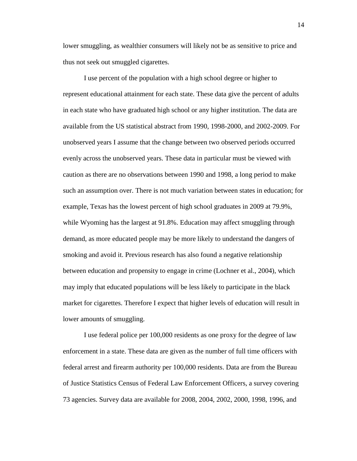lower smuggling, as wealthier consumers will likely not be as sensitive to price and thus not seek out smuggled cigarettes.

I use percent of the population with a high school degree or higher to represent educational attainment for each state. These data give the percent of adults in each state who have graduated high school or any higher institution. The data are available from the US statistical abstract from 1990, 1998-2000, and 2002-2009. For unobserved years I assume that the change between two observed periods occurred evenly across the unobserved years. These data in particular must be viewed with caution as there are no observations between 1990 and 1998, a long period to make such an assumption over. There is not much variation between states in education; for example, Texas has the lowest percent of high school graduates in 2009 at 79.9%, while Wyoming has the largest at 91.8%. Education may affect smuggling through demand, as more educated people may be more likely to understand the dangers of smoking and avoid it. Previous research has also found a negative relationship between education and propensity to engage in crime (Lochner et al., 2004), which may imply that educated populations will be less likely to participate in the black market for cigarettes. Therefore I expect that higher levels of education will result in lower amounts of smuggling.

I use federal police per 100,000 residents as one proxy for the degree of law enforcement in a state. These data are given as the number of full time officers with federal arrest and firearm authority per 100,000 residents. Data are from the Bureau of Justice Statistics Census of Federal Law Enforcement Officers, a survey covering 73 agencies. Survey data are available for 2008, 2004, 2002, 2000, 1998, 1996, and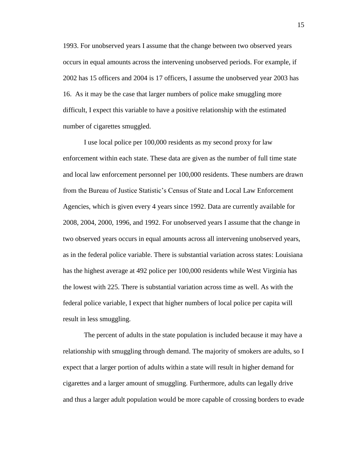1993. For unobserved years I assume that the change between two observed years occurs in equal amounts across the intervening unobserved periods. For example, if 2002 has 15 officers and 2004 is 17 officers, I assume the unobserved year 2003 has 16. As it may be the case that larger numbers of police make smuggling more difficult, I expect this variable to have a positive relationship with the estimated number of cigarettes smuggled.

I use local police per 100,000 residents as my second proxy for law enforcement within each state. These data are given as the number of full time state and local law enforcement personnel per 100,000 residents. These numbers are drawn from the Bureau of Justice Statistic's Census of State and Local Law Enforcement Agencies, which is given every 4 years since 1992. Data are currently available for 2008, 2004, 2000, 1996, and 1992. For unobserved years I assume that the change in two observed years occurs in equal amounts across all intervening unobserved years, as in the federal police variable. There is substantial variation across states: Louisiana has the highest average at 492 police per 100,000 residents while West Virginia has the lowest with 225. There is substantial variation across time as well. As with the federal police variable, I expect that higher numbers of local police per capita will result in less smuggling.

The percent of adults in the state population is included because it may have a relationship with smuggling through demand. The majority of smokers are adults, so I expect that a larger portion of adults within a state will result in higher demand for cigarettes and a larger amount of smuggling. Furthermore, adults can legally drive and thus a larger adult population would be more capable of crossing borders to evade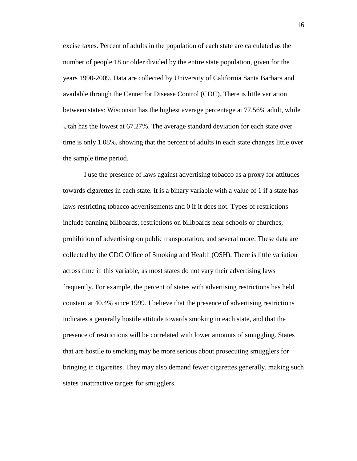excise taxes. Percent of adults in the population of each state are calculated as the number of people 18 or older divided by the entire state population, given for the years 1990-2009. Data are collected by University of California Santa Barbara and available through the Center for Disease Control (CDC). There is little variation between states: Wisconsin has the highest average percentage at 77.56% adult, while Utah has the lowest at 67.27%. The average standard deviation for each state over time is only 1.08%, showing that the percent of adults in each state changes little over the sample time period.

I use the presence of laws against advertising tobacco as a proxy for attitudes towards cigarettes in each state. It is a binary variable with a value of 1 if a state has laws restricting tobacco advertisements and 0 if it does not. Types of restrictions include banning billboards, restrictions on billboards near schools or churches, prohibition of advertising on public transportation, and several more. These data are collected by the CDC Office of Smoking and Health (OSH). There is little variation across time in this variable, as most states do not vary their advertising laws frequently. For example, the percent of states with advertising restrictions has held constant at 40.4% since 1999. I believe that the presence of advertising restrictions indicates a generally hostile attitude towards smoking in each state, and that the presence of restrictions will be correlated with lower amounts of smuggling. States that are hostile to smoking may be more serious about prosecuting smugglers for bringing in cigarettes. They may also demand fewer cigarettes generally, making such states unattractive targets for smugglers.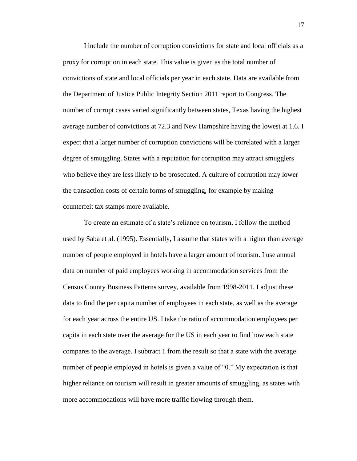I include the number of corruption convictions for state and local officials as a proxy for corruption in each state. This value is given as the total number of convictions of state and local officials per year in each state. Data are available from the Department of Justice Public Integrity Section 2011 report to Congress. The number of corrupt cases varied significantly between states, Texas having the highest average number of convictions at 72.3 and New Hampshire having the lowest at 1.6. I expect that a larger number of corruption convictions will be correlated with a larger degree of smuggling. States with a reputation for corruption may attract smugglers who believe they are less likely to be prosecuted. A culture of corruption may lower the transaction costs of certain forms of smuggling, for example by making counterfeit tax stamps more available.

To create an estimate of a state's reliance on tourism, I follow the method used by Saba et al. (1995). Essentially, I assume that states with a higher than average number of people employed in hotels have a larger amount of tourism. I use annual data on number of paid employees working in accommodation services from the Census County Business Patterns survey, available from 1998-2011. I adjust these data to find the per capita number of employees in each state, as well as the average for each year across the entire US. I take the ratio of accommodation employees per capita in each state over the average for the US in each year to find how each state compares to the average. I subtract 1 from the result so that a state with the average number of people employed in hotels is given a value of "0." My expectation is that higher reliance on tourism will result in greater amounts of smuggling, as states with more accommodations will have more traffic flowing through them.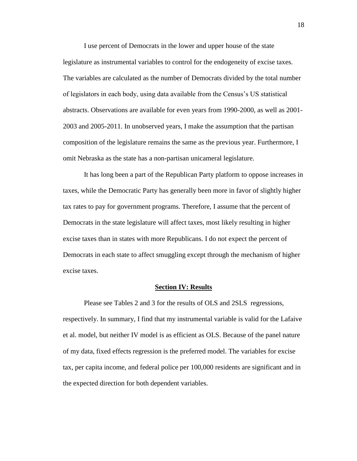I use percent of Democrats in the lower and upper house of the state legislature as instrumental variables to control for the endogeneity of excise taxes. The variables are calculated as the number of Democrats divided by the total number of legislators in each body, using data available from the Census's US statistical abstracts. Observations are available for even years from 1990-2000, as well as 2001- 2003 and 2005-2011. In unobserved years, I make the assumption that the partisan composition of the legislature remains the same as the previous year. Furthermore, I omit Nebraska as the state has a non-partisan unicameral legislature.

It has long been a part of the Republican Party platform to oppose increases in taxes, while the Democratic Party has generally been more in favor of slightly higher tax rates to pay for government programs. Therefore, I assume that the percent of Democrats in the state legislature will affect taxes, most likely resulting in higher excise taxes than in states with more Republicans. I do not expect the percent of Democrats in each state to affect smuggling except through the mechanism of higher excise taxes.

#### **Section IV: Results**

Please see Tables 2 and 3 for the results of OLS and 2SLS regressions, respectively. In summary, I find that my instrumental variable is valid for the Lafaive et al. model, but neither IV model is as efficient as OLS. Because of the panel nature of my data, fixed effects regression is the preferred model. The variables for excise tax, per capita income, and federal police per 100,000 residents are significant and in the expected direction for both dependent variables.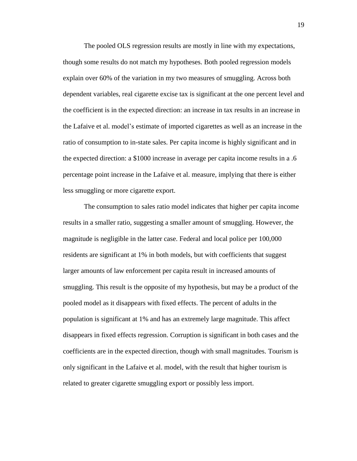The pooled OLS regression results are mostly in line with my expectations, though some results do not match my hypotheses. Both pooled regression models explain over 60% of the variation in my two measures of smuggling. Across both dependent variables, real cigarette excise tax is significant at the one percent level and the coefficient is in the expected direction: an increase in tax results in an increase in the Lafaive et al. model's estimate of imported cigarettes as well as an increase in the ratio of consumption to in-state sales. Per capita income is highly significant and in the expected direction: a \$1000 increase in average per capita income results in a .6 percentage point increase in the Lafaive et al. measure, implying that there is either less smuggling or more cigarette export.

The consumption to sales ratio model indicates that higher per capita income results in a smaller ratio, suggesting a smaller amount of smuggling. However, the magnitude is negligible in the latter case. Federal and local police per 100,000 residents are significant at 1% in both models, but with coefficients that suggest larger amounts of law enforcement per capita result in increased amounts of smuggling. This result is the opposite of my hypothesis, but may be a product of the pooled model as it disappears with fixed effects. The percent of adults in the population is significant at 1% and has an extremely large magnitude. This affect disappears in fixed effects regression. Corruption is significant in both cases and the coefficients are in the expected direction, though with small magnitudes. Tourism is only significant in the Lafaive et al. model, with the result that higher tourism is related to greater cigarette smuggling export or possibly less import.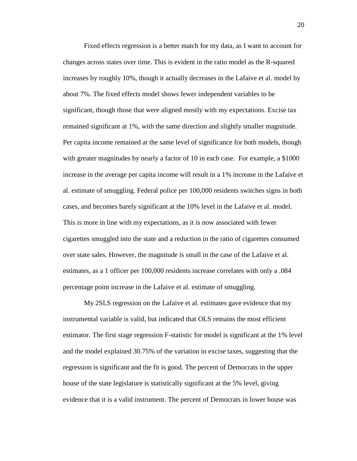Fixed effects regression is a better match for my data, as I want to account for changes across states over time. This is evident in the ratio model as the R-squared increases by roughly 10%, though it actually decreases in the Lafaive et al. model by about 7%. The fixed effects model shows fewer independent variables to be significant, though those that were aligned mostly with my expectations. Excise tax remained significant at 1%, with the same direction and slightly smaller magnitude. Per capita income remained at the same level of significance for both models, though with greater magnitudes by nearly a factor of 10 in each case. For example, a \$1000 increase in the average per capita income will result in a 1% increase in the Lafaive et al. estimate of smuggling. Federal police per 100,000 residents switches signs in both cases, and becomes barely significant at the 10% level in the Lafaive et al. model. This is more in line with my expectations, as it is now associated with fewer cigarettes smuggled into the state and a reduction in the ratio of cigarettes consumed over state sales. However, the magnitude is small in the case of the Lafaive et al. estimates, as a 1 officer per 100,000 residents increase correlates with only a .084 percentage point increase in the Lafaive et al. estimate of smuggling.

My 2SLS regression on the Lafaive et al. estimates gave evidence that my instrumental variable is valid, but indicated that OLS remains the most efficient estimator. The first stage regression F-statistic for model is significant at the 1% level and the model explained 30.75% of the variation in excise taxes, suggesting that the regression is significant and the fit is good. The percent of Democrats in the upper house of the state legislature is statistically significant at the 5% level, giving evidence that it is a valid instrument. The percent of Democrats in lower house was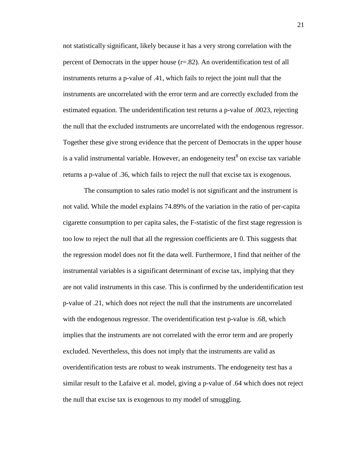not statistically significant, likely because it has a very strong correlation with the percent of Democrats in the upper house (r=.82). An overidentification test of all instruments returns a p-value of .41, which fails to reject the joint null that the instruments are uncorrelated with the error term and are correctly excluded from the estimated equation. The underidentification test returns a p-value of .0023, rejecting the null that the excluded instruments are uncorrelated with the endogenous regressor. Together these give strong evidence that the percent of Democrats in the upper house is a valid instrumental variable. However, an endogeneity test $^8$  on excise tax variable returns a p-value of .36, which fails to reject the null that excise tax is exogenous.

The consumption to sales ratio model is not significant and the instrument is not valid. While the model explains 74.89% of the variation in the ratio of per-capita cigarette consumption to per capita sales, the F-statistic of the first stage regression is too low to reject the null that all the regression coefficients are 0. This suggests that the regression model does not fit the data well. Furthermore, I find that neither of the instrumental variables is a significant determinant of excise tax, implying that they are not valid instruments in this case. This is confirmed by the underidentification test p-value of .21, which does not reject the null that the instruments are uncorrelated with the endogenous regressor. The overidentification test p-value is .68, which implies that the instruments are not correlated with the error term and are properly excluded. Nevertheless, this does not imply that the instruments are valid as overidentification tests are robust to weak instruments. The endogeneity test has a similar result to the Lafaive et al. model, giving a p-value of .64 which does not reject the null that excise tax is exogenous to my model of smuggling.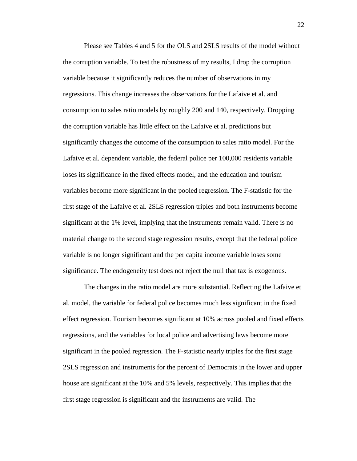Please see Tables 4 and 5 for the OLS and 2SLS results of the model without the corruption variable. To test the robustness of my results, I drop the corruption variable because it significantly reduces the number of observations in my regressions. This change increases the observations for the Lafaive et al. and consumption to sales ratio models by roughly 200 and 140, respectively. Dropping the corruption variable has little effect on the Lafaive et al. predictions but significantly changes the outcome of the consumption to sales ratio model. For the Lafaive et al. dependent variable, the federal police per 100,000 residents variable loses its significance in the fixed effects model, and the education and tourism variables become more significant in the pooled regression. The F-statistic for the first stage of the Lafaive et al. 2SLS regression triples and both instruments become significant at the 1% level, implying that the instruments remain valid. There is no material change to the second stage regression results, except that the federal police variable is no longer significant and the per capita income variable loses some significance. The endogeneity test does not reject the null that tax is exogenous.

The changes in the ratio model are more substantial. Reflecting the Lafaive et al. model, the variable for federal police becomes much less significant in the fixed effect regression. Tourism becomes significant at 10% across pooled and fixed effects regressions, and the variables for local police and advertising laws become more significant in the pooled regression. The F-statistic nearly triples for the first stage 2SLS regression and instruments for the percent of Democrats in the lower and upper house are significant at the 10% and 5% levels, respectively. This implies that the first stage regression is significant and the instruments are valid. The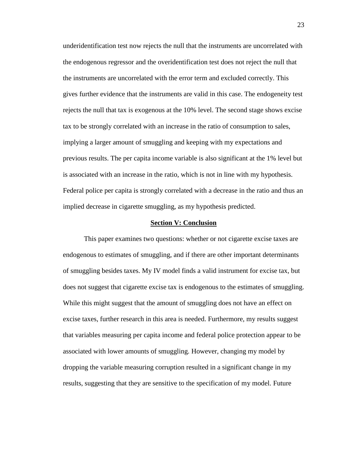underidentification test now rejects the null that the instruments are uncorrelated with the endogenous regressor and the overidentification test does not reject the null that the instruments are uncorrelated with the error term and excluded correctly. This gives further evidence that the instruments are valid in this case. The endogeneity test rejects the null that tax is exogenous at the 10% level. The second stage shows excise tax to be strongly correlated with an increase in the ratio of consumption to sales, implying a larger amount of smuggling and keeping with my expectations and previous results. The per capita income variable is also significant at the 1% level but is associated with an increase in the ratio, which is not in line with my hypothesis. Federal police per capita is strongly correlated with a decrease in the ratio and thus an implied decrease in cigarette smuggling, as my hypothesis predicted.

#### **Section V: Conclusion**

This paper examines two questions: whether or not cigarette excise taxes are endogenous to estimates of smuggling, and if there are other important determinants of smuggling besides taxes. My IV model finds a valid instrument for excise tax, but does not suggest that cigarette excise tax is endogenous to the estimates of smuggling. While this might suggest that the amount of smuggling does not have an effect on excise taxes, further research in this area is needed. Furthermore, my results suggest that variables measuring per capita income and federal police protection appear to be associated with lower amounts of smuggling. However, changing my model by dropping the variable measuring corruption resulted in a significant change in my results, suggesting that they are sensitive to the specification of my model. Future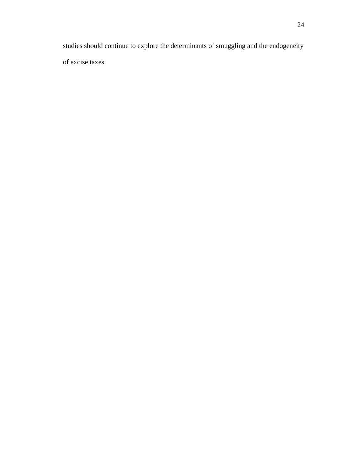studies should continue to explore the determinants of smuggling and the endogeneity of excise taxes.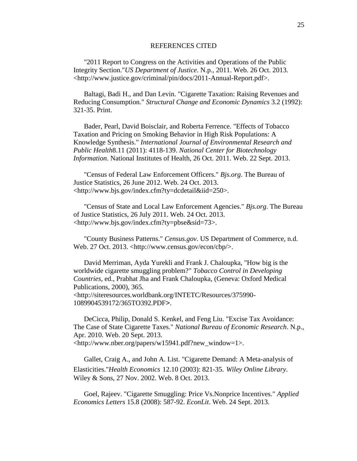#### REFERENCES CITED

"2011 Report to Congress on the Activities and Operations of the Public Integrity Section."*US Department of Justice*. N.p., 2011. Web. 26 Oct. 2013. <http://www.justice.gov/criminal/pin/docs/2011-Annual-Report.pdf>.

Baltagi, Badi H., and Dan Levin. "Cigarette Taxation: Raising Revenues and Reducing Consumption." *Structural Change and Economic Dynamics* 3.2 (1992): 321-35. Print.

Bader, Pearl, David Boisclair, and Roberta Ferrence. "Effects of Tobacco Taxation and Pricing on Smoking Behavior in High Risk Populations: A Knowledge Synthesis." *International Journal of Environmental Research and Public Health*8.11 (2011): 4118-139. *National Center for Biotechnology Information*. National Institutes of Health, 26 Oct. 2011. Web. 22 Sept. 2013.

"Census of Federal Law Enforcement Officers." *Bjs.org*. The Bureau of Justice Statistics, 26 June 2012. Web. 24 Oct. 2013. <http://www.bjs.gov/index.cfm?ty=dcdetail&iid=250>.

"Census of State and Local Law Enforcement Agencies." *Bjs.org*. The Bureau of Justice Statistics, 26 July 2011. Web. 24 Oct. 2013. <http://www.bjs.gov/index.cfm?ty=pbse&sid=73>.

"County Business Patterns." *Census.gov*. US Department of Commerce, n.d. Web. 27 Oct. 2013. <http://www.census.gov/econ/cbp/>.

David Merriman, Ayda Yurekli and Frank J. Chaloupka, "How big is the worldwide cigarette smuggling problem?" *Tobacco Control in Developing Countries,* ed., Prabhat Jha and Frank Chaloupka, (Geneva: Oxford Medical Publications, 2000), 365. <http://siteresources.worldbank.org/INTETC/Resources/375990- 1089904539172/365TO392.PDF>.

DeCicca, Philip, Donald S. Kenkel, and Feng Liu. "Excise Tax Avoidance: The Case of State Cigarette Taxes." *National Bureau of Economic Research*. N.p., Apr. 2010. Web. 20 Sept. 2013. <http://www.nber.org/papers/w15941.pdf?new\_window=1>.

Gallet, Craig A., and John A. List. "Cigarette Demand: A Meta-analysis of Elasticities."*Health Economics* 12.10 (2003): 821-35. *Wiley Online Library*. Wiley & Sons, 27 Nov. 2002. Web. 8 Oct. 2013.

Goel, Rajeev. "Cigarette Smuggling: Price Vs.Nonprice Incentives." *Applied Economics Letters* 15.8 (2008): 587-92. *EconLit*. Web. 24 Sept. 2013.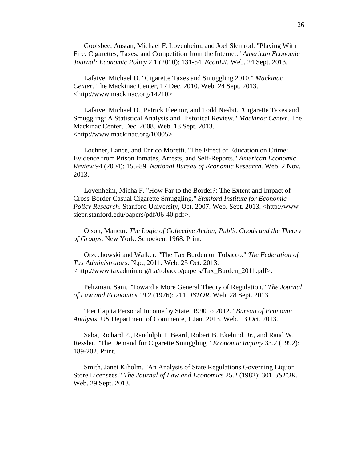Goolsbee, Austan, Michael F. Lovenheim, and Joel Slemrod. "Playing With Fire: Cigarettes, Taxes, and Competition from the Internet." *American Economic Journal: Economic Policy* 2.1 (2010): 131-54. *EconLit*. Web. 24 Sept. 2013.

Lafaive, Michael D. "Cigarette Taxes and Smuggling 2010." *Mackinac Center*. The Mackinac Center, 17 Dec. 2010. Web. 24 Sept. 2013. <http://www.mackinac.org/14210>.

Lafaive, Michael D., Patrick Fleenor, and Todd Nesbit. "Cigarette Taxes and Smuggling: A Statistical Analysis and Historical Review." *Mackinac Center*. The Mackinac Center, Dec. 2008. Web. 18 Sept. 2013. <http://www.mackinac.org/10005>.

Lochner, Lance, and Enrico Moretti. "The Effect of Education on Crime: Evidence from Prison Inmates, Arrests, and Self-Reports." *American Economic Review* 94 (2004): 155-89. *National Bureau of Economic Research*. Web. 2 Nov. 2013.

Lovenheim, Micha F. "How Far to the Border?: The Extent and Impact of Cross-Border Casual Cigarette Smuggling." *Stanford Institute for Economic Policy Research*. Stanford University, Oct. 2007. Web. Sept. 2013. <http://wwwsiepr.stanford.edu/papers/pdf/06-40.pdf>.

Olson, Mancur. *The Logic of Collective Action; Public Goods and the Theory of Groups.* New York: Schocken, 1968. Print.

Orzechowski and Walker. "The Tax Burden on Tobacco." *The Federation of Tax Administrators*. N.p., 2011. Web. 25 Oct. 2013. <http://www.taxadmin.org/fta/tobacco/papers/Tax\_Burden\_2011.pdf>.

Peltzman, Sam. "Toward a More General Theory of Regulation." *The Journal of Law and Economics* 19.2 (1976): 211. *JSTOR*. Web. 28 Sept. 2013.

"Per Capita Personal Income by State, 1990 to 2012." *Bureau of Economic Analysis*. US Department of Commerce, 1 Jan. 2013. Web. 13 Oct. 2013.

Saba, Richard P., Randolph T. Beard, Robert B. Ekelund, Jr., and Rand W. Ressler. "The Demand for Cigarette Smuggling." *Economic Inquiry* 33.2 (1992): 189-202. Print.

Smith, Janet Kiholm. "An Analysis of State Regulations Governing Liquor Store Licensees." *The Journal of Law and Economics* 25.2 (1982): 301. *JSTOR*. Web. 29 Sept. 2013.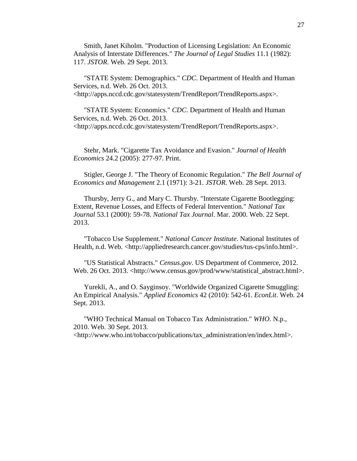Smith, Janet Kiholm. "Production of Licensing Legislation: An Economic Analysis of Interstate Differences." *The Journal of Legal Studies* 11.1 (1982): 117. *JSTOR*. Web. 29 Sept. 2013.

"STATE System: Demographics." *CDC*. Department of Health and Human Services, n.d. Web. 26 Oct. 2013. <http://apps.nccd.cdc.gov/statesystem/TrendReport/TrendReports.aspx>.

"STATE System: Economics." *CDC*. Department of Health and Human Services, n.d. Web. 26 Oct. 2013. <http://apps.nccd.cdc.gov/statesystem/TrendReport/TrendReports.aspx>.

Stehr, Mark. "Cigarette Tax Avoidance and Evasion." *Journal of Health Economics* 24.2 (2005): 277-97. Print.

Stigler, George J. "The Theory of Economic Regulation." *The Bell Journal of Economics and Management* 2.1 (1971): 3-21. *JSTOR*. Web. 28 Sept. 2013.

Thursby, Jerry G., and Mary C. Thursby. "Interstate Cigarette Bootlegging: Extent, Revenue Losses, and Effects of Federal Intervention." *National Tax Journal* 53.1 (2000): 59-78. *National Tax Journal*. Mar. 2000. Web. 22 Sept. 2013.

"Tobacco Use Supplement." *National Cancer Institute*. National Institutes of Health, n.d. Web. <http://appliedresearch.cancer.gov/studies/tus-cps/info.html>.

"US Statistical Abstracts." *Census.gov*. US Department of Commerce, 2012. Web. 26 Oct. 2013. <http://www.census.gov/prod/www/statistical\_abstract.html>.

Yurekli, A., and O. Sayginsoy. "Worldwide Organized Cigarette Smuggling: An Empirical Analysis." *Applied Economics* 42 (2010): 542-61. *EconLit*. Web. 24 Sept. 2013.

"WHO Technical Manual on Tobacco Tax Administration." *WHO*. N.p., 2010. Web. 30 Sept. 2013.

<http://www.who.int/tobacco/publications/tax\_administration/en/index.html>.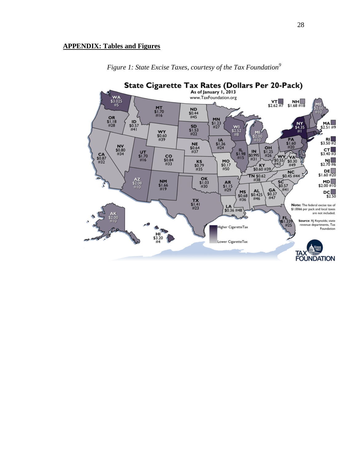## **APPENDIX: Tables and Figures**



*Figure 1: State Excise Taxes, courtesy of the Tax Foundation<sup>9</sup>*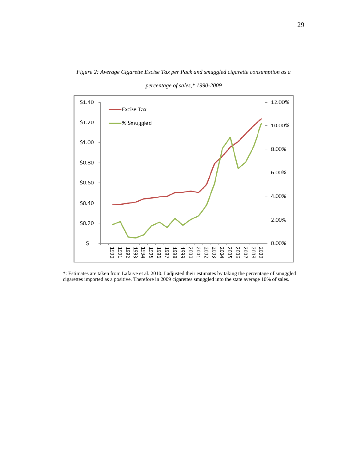

*Figure 2: Average Cigarette Excise Tax per Pack and smuggled cigarette consumption as a* 

*percentage of sales,\* 1990-2009*

\*: Estimates are taken from Lafaive et al. 2010. I adjusted their estimates by taking the percentage of smuggled cigarettes imported as a positive. Therefore in 2009 cigarettes smuggled into the state average 10% of sales.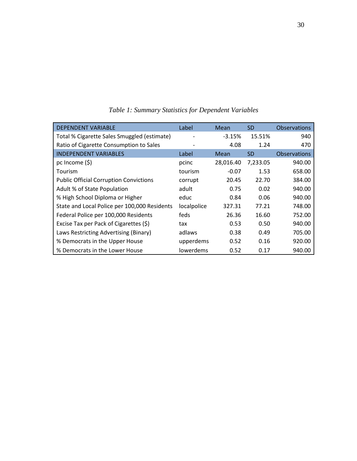| <b>DEPENDENT VARIABLE</b>                     | Label       | Mean        | <b>SD</b> | <b>Observations</b> |
|-----------------------------------------------|-------------|-------------|-----------|---------------------|
| Total % Cigarette Sales Smuggled (estimate)   |             | $-3.15%$    | 15.51%    | 940                 |
| Ratio of Cigarette Consumption to Sales       |             | 4.08        | 1.24      | 470                 |
| <b>INDEPENDENT VARIABLES</b>                  | Label       | <b>Mean</b> | <b>SD</b> | <b>Observations</b> |
| pc Income $(\xi)$                             | pcinc       | 28,016.40   | 7,233.05  | 940.00              |
| Tourism                                       | tourism     | $-0.07$     | 1.53      | 658.00              |
| <b>Public Official Corruption Convictions</b> | corrupt     | 20.45       | 22.70     | 384.00              |
| Adult % of State Population                   | adult       | 0.75        | 0.02      | 940.00              |
| % High School Diploma or Higher               | educ        | 0.84        | 0.06      | 940.00              |
| State and Local Police per 100,000 Residents  | localpolice | 327.31      | 77.21     | 748.00              |
| Federal Police per 100,000 Residents          | feds        | 26.36       | 16.60     | 752.00              |
| Excise Tax per Pack of Cigarettes (\$)        | tax         | 0.53        | 0.50      | 940.00              |
| Laws Restricting Advertising (Binary)         | adlaws      | 0.38        | 0.49      | 705.00              |
| % Democrats in the Upper House                | upperdems   | 0.52        | 0.16      | 920.00              |
| % Democrats in the Lower House                | lowerdems   | 0.52        | 0.17      | 940.00              |

*Table 1: Summary Statistics for Dependent Variables*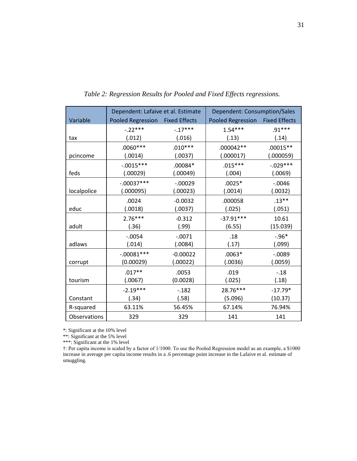|              | Dependent: Lafaive et al. Estimate |                      | Dependent: Consumption/Sales |                      |
|--------------|------------------------------------|----------------------|------------------------------|----------------------|
| Variable     | Pooled Regression                  | <b>Fixed Effects</b> | <b>Pooled Regression</b>     | <b>Fixed Effects</b> |
|              | $-.22***$                          | $-.17***$            | $1.54***$                    | $.91***$             |
| tax          | (.012)                             | (.016)               | (.13)                        | (.14)                |
|              | $.0060***$                         | $.010***$            | .000042 **                   | $.00015**$           |
| pcincome     | (.0014)                            | (.0037)              | (.000017)                    | (.000059)            |
|              | $-.0015***$                        | $.00084*$            | $.015***$                    | $-.029***$           |
| feds         | (.00029)                           | (.00049)             | (.004)                       | (.0069)              |
|              | $-.00037***$                       | $-.00029$            | $.0025*$                     | $-.0046$             |
| localpolice  | (.000095)                          | (.00023)             | (.0014)                      | (.0032)              |
|              | .0024                              | $-0.0032$            | .000058                      | $.13***$             |
| educ         | (.0018)                            | (.0037)              | (.025)                       | (.051)               |
|              | $2.76***$                          | $-0.312$             | $-37.91***$                  | 10.61                |
| adult        | (.36)                              | (.99)                | (6.55)                       | (15.039)             |
|              | $-.0054$                           | $-.0071$             | .18                          | $-.96*$              |
| adlaws       | (.014)                             | (.0084)              | (.17)                        | (.099)               |
|              | $-0.00081***$                      | $-0.00022$           | $.0063*$                     | $-.0089$             |
| corrupt      | (0.00029)                          | (.00022)             | (.0036)                      | (.0059)              |
|              | $.017**$                           | .0053                | .019                         | $-.18$               |
| tourism      | (.0067)                            | (0.0028)             | (.025)                       | (.18)                |
|              | $-2.19***$                         | $-182$               | 28.76***                     | $-17.79*$            |
| Constant     | (.34)                              | (.58)                | (5.096)                      | (10.37)              |
| R-squared    | 63.11%                             | 56.45%               | 67.14%                       | 76.94%               |
| Observations | 329                                | 329                  | 141                          | 141                  |

*Table 2: Regression Results for Pooled and Fixed Effects regressions.* 

\*\*: Significant at the 5% level

\*\*\*: Significant at the 1% level

†: Per capita income is scaled by a factor of 1/1000. To use the Pooled Regression model as an example, a \$1000 increase in average per capita income results in a .6 percentage point increase in the Lafaive et al. estimate of smuggling.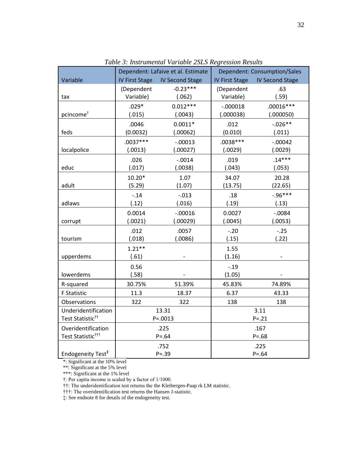|                               | Dependent: Lafaive et al. Estimate |                        | <b>Dependent: Consumption/Sales</b> |                        |
|-------------------------------|------------------------------------|------------------------|-------------------------------------|------------------------|
| Variable                      | <b>IV First Stage</b>              | <b>IV Second Stage</b> | <b>IV First Stage</b>               | <b>IV Second Stage</b> |
|                               | (Dependent                         | $-0.23***$             | (Dependent                          | .63                    |
| tax                           | Variable)                          | (.062)                 | Variable)                           | (.59)                  |
|                               | $.029*$                            | $0.012***$             | $-.000018$                          | $.00016***$            |
| pcincome <sup>+</sup>         | (.015)                             | (.0043)                | (.000038)                           | (.000050)              |
|                               | .0046                              | $0.0011*$              | .012                                | $-.026**$              |
| feds                          | (0.0032)                           | (.00062)               | (0.010)                             | (.011)                 |
|                               | $.0037***$                         | $-.00013$              | $.0038***$                          | $-.00042$              |
| localpolice                   | (.0013)                            | (.00027)               | (.0029)                             | (.0029)                |
|                               | .026                               | $-.0014$               | .019                                | $.14***$               |
| educ                          | (.017)                             | (.0038)                | (.043)                              | (.053)                 |
|                               | $10.20*$                           | 1.07                   | 34.07                               | 20.28                  |
| adult                         | (5.29)                             | (1.07)                 | (13.75)                             | (22.65)                |
|                               | $-.14$                             | $-.013$                | .18                                 | $-0.96***$             |
| adlaws                        | (.12)                              | (.016)                 | (.19)                               | (.13)                  |
|                               | 0.0014                             | $-.00016$              | 0.0027                              | $-.0084$               |
| corrupt                       | (.0021)                            | (.00029)               | (.0045)                             | (.0053)                |
|                               | .012                               | .0057                  | $-.20$                              | $-.25$                 |
| tourism                       | (.018)                             | (.0086)                | (.15)                               | (.22)                  |
|                               | $1.21**$                           |                        | 1.55                                |                        |
| upperdems                     | (.61)                              |                        | (1.16)                              |                        |
|                               | 0.56                               |                        | $-.19$                              |                        |
| lowerdems                     | (.58)                              |                        | (1.05)                              |                        |
| R-squared                     | 30.75%                             | 51.39%                 | 45.83%                              | 74.89%                 |
| <b>F Statistic</b>            | 11.3                               | 18.37                  | 6.37                                | 43.33                  |
| Observations                  | 322                                | 322                    | 138                                 | 138                    |
| Underidentification           | 13.31                              |                        | 3.11                                |                        |
| Test Statistic <sup>tt</sup>  | $P = .0013$                        |                        | $P = .21$                           |                        |
| Overidentification            | .225                               |                        | .167                                |                        |
| Test Statistic <sup>†††</sup> | $P = .64$                          |                        | $P = .68$                           |                        |
|                               |                                    | .752                   |                                     | .225                   |
| Endogeneity Test <sup>#</sup> | $P = .39$                          |                        | $P = .64$                           |                        |

*Table 3: Instrumental Variable 2SLS Regression Results*

\*\*: Significant at the 5% level

\*\*\*: Significant at the 1% level

†: Per capita income is scaled by a factor of 1/1000.

††: The underidentification test returns the the Kleibergen-Paap rk LM statistic.

†††: The overidentification test returns the Hansen J-statistic.

‡: See endnote 8 for details of the endogeneity test.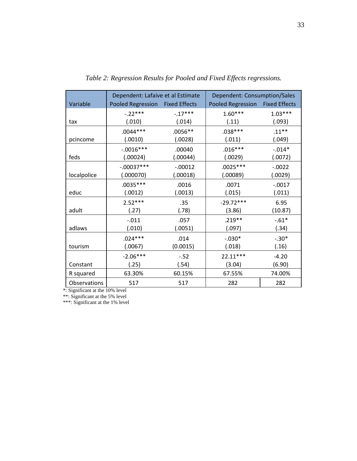|              | Dependent: Lafaive et al Estimate |           | Dependent: Consumption/Sales |                      |
|--------------|-----------------------------------|-----------|------------------------------|----------------------|
| Variable     | Pooled Regression Fixed Effects   |           | Pooled Regression            | <b>Fixed Effects</b> |
|              | $-.22***$                         | $-17***$  | $1.60***$                    | $1.03***$            |
| tax          | (.010)                            | (.014)    | (.11)                        | (.093)               |
|              | $.0044***$                        | $.0056**$ | $.038***$                    | $.11***$             |
| pcincome     | (.0010)                           | (.0028)   | (.011)                       | (.049)               |
|              | $-.0016***$                       | .00040    | $.016***$                    | $-.014*$             |
| feds         | (.00024)                          | (.00044)  | (.0029)                      | (.0072)              |
|              | $-.00037***$                      | $-.00012$ | $.0025***$                   | $-0.0022$            |
| localpolice  | (.000070)                         | (.00018)  | (.00089)                     | (.0029)              |
|              | $.0035***$                        | .0016     | .0071                        | $-0.0017$            |
| educ         | (.0012)                           | (.0013)   | (.015)                       | (.011)               |
|              | $2.52***$                         | .35       | $-29.72***$                  | 6.95                 |
| adult        | (.27)                             | (.78)     | (3.86)                       | (10.87)              |
|              | $-.011$                           | .057      | $.219**$                     | $-0.61*$             |
| adlaws       | (.010)                            | (.0051)   | (.097)                       | (.34)                |
|              | $.024***$                         | .014      | $-.030*$                     | $-.30*$              |
| tourism      | (.0067)                           | (0.0015)  | (.018)                       | (.16)                |
|              | $-2.06***$                        | $-.52$    | 22.11***                     | $-4.20$              |
| Constant     | (.25)                             | (.54)     | (3.04)                       | (6.90)               |
| R squared    | 63.30%                            | 60.15%    | 67.55%                       | 74.00%               |
| Observations | 517                               | 517       | 282                          | 282                  |

*Table 2: Regression Results for Pooled and Fixed Effects regressions.*

\*\*: Significant at the 5% level

\*\*\*: Significant at the 1% level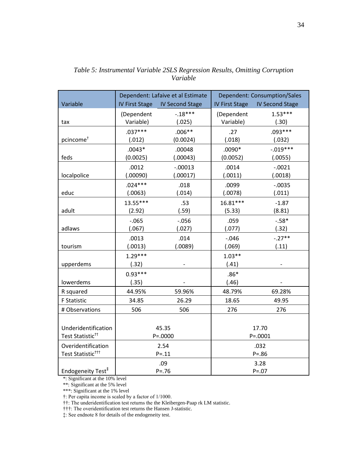|                               | Dependent: Lafaive et al Estimate |                        | <b>Dependent: Consumption/Sales</b> |                        |
|-------------------------------|-----------------------------------|------------------------|-------------------------------------|------------------------|
| Variable                      | <b>IV First Stage</b>             | <b>IV Second Stage</b> | <b>IV First Stage</b>               | <b>IV Second Stage</b> |
|                               | (Dependent                        | $-.18***$              | (Dependent                          | $1.53***$              |
| tax                           | Variable)                         | (.025)                 | Variable)                           | (.30)                  |
|                               | $.037***$                         | $.006**$               | .27                                 | $.093***$              |
| pcincome <sup>+</sup>         | (.012)                            | (0.0024)               | (.018)                              | (.032)                 |
|                               | $.0043*$                          | .00048                 | $.0090*$                            | $-.019***$             |
| feds                          | (0.0025)                          | (.00043)               | (0.0052)                            | (.0055)                |
|                               | .0012                             | $-.00013$              | .0014                               | $-.0021$               |
| localpolice                   | (.00090)                          | (.00017)               | (.0011)                             | (.0018)                |
|                               | $.024***$                         | .018                   | .0099                               | $-0.0035$              |
| educ                          | (.0063)                           | (.014)                 | (.0078)                             | (.011)                 |
|                               | 13.55***                          | .53                    | 16.81***                            | $-1.87$                |
| adult                         | (2.92)                            | (.59)                  | (5.33)                              | (8.81)                 |
|                               | $-0.065$                          | $-0.056$               | .059                                | $-.58*$                |
| adlaws                        | (.067)                            | (.027)                 | (.077)                              | (.32)                  |
|                               | .0013                             | .014                   | $-0.046$                            | $-.27**$               |
| tourism                       | (.0013)                           | (.0089)                | (.069)                              | (.11)                  |
|                               | $1.29***$                         |                        | $1.03**$                            |                        |
| upperdems                     | (.32)                             |                        | (.41)                               |                        |
|                               | $0.93***$                         |                        | $.86*$                              |                        |
| lowerdems                     | (.35)                             |                        | (.46)                               |                        |
| R squared                     | 44.95%                            | 59.96%                 | 48.79%                              | 69.28%                 |
| <b>F Statistic</b>            | 34.85                             | 26.29                  | 18.65                               | 49.95                  |
| # Observations                | 506                               | 506                    | 276                                 | 276                    |
|                               |                                   |                        |                                     |                        |
| Underidentification           | 45.35                             |                        | 17.70                               |                        |
| Test Statistic <sup>tt</sup>  | $P = 0000$                        |                        | $P = .0001$                         |                        |
| Overidentification            | 2.54                              |                        | .032                                |                        |
| Test Statistic <sup>†††</sup> | $P = .11$                         |                        | $P = .86$                           |                        |
|                               |                                   | .09                    |                                     | 3.28                   |
| Endogeneity Test <sup>#</sup> | $P = .76$                         |                        | $P = .07$                           |                        |

*Table 5: Instrumental Variable 2SLS Regression Results, Omitting Corruption Variable*

\*\*: Significant at the 5% level

\*\*\*: Significant at the 1% level

†: Per capita income is scaled by a factor of 1/1000.

††: The underidentification test returns the the Kleibergen-Paap rk LM statistic.

†††: The overidentification test returns the Hansen J-statistic.

‡: See endnote 8 for details of the endogeneity test.